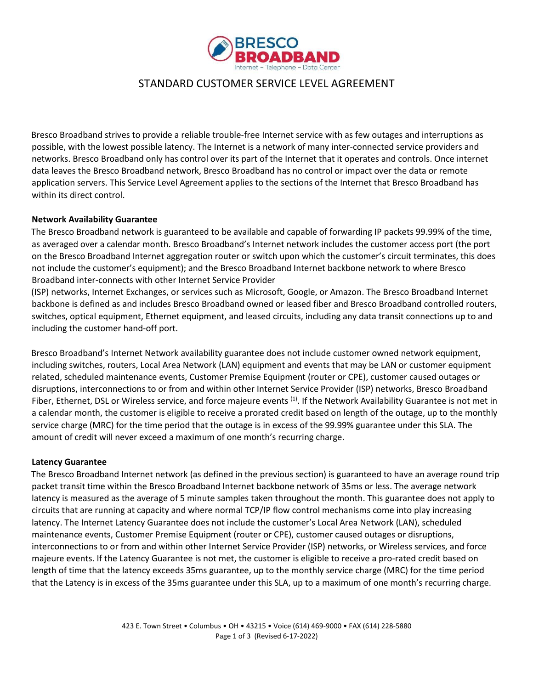

# STANDARD CUSTOMER SERVICE LEVEL AGREEMENT

Bresco Broadband strives to provide a reliable trouble-free Internet service with as few outages and interruptions as possible, with the lowest possible latency. The Internet is a network of many inter-connected service providers and networks. Bresco Broadband only has control over its part of the Internet that it operates and controls. Once internet data leaves the Bresco Broadband network, Bresco Broadband has no control or impact over the data or remote application servers. This Service Level Agreement applies to the sections of the Internet that Bresco Broadband has within its direct control.

## **Network Availability Guarantee**

The Bresco Broadband network is guaranteed to be available and capable of forwarding IP packets 99.99% of the time, as averaged over a calendar month. Bresco Broadband's Internet network includes the customer access port (the port on the Bresco Broadband Internet aggregation router or switch upon which the customer's circuit terminates, this does not include the customer's equipment); and the Bresco Broadband Internet backbone network to where Bresco Broadband inter-connects with other Internet Service Provider

(ISP) networks, Internet Exchanges, or services such as Microsoft, Google, or Amazon. The Bresco Broadband Internet backbone is defined as and includes Bresco Broadband owned or leased fiber and Bresco Broadband controlled routers, switches, optical equipment, Ethernet equipment, and leased circuits, including any data transit connections up to and including the customer hand-off port.

Bresco Broadband's Internet Network availability guarantee does not include customer owned network equipment, including switches, routers, Local Area Network (LAN) equipment and events that may be LAN or customer equipment related, scheduled maintenance events, Customer Premise Equipment (router or CPE), customer caused outages or disruptions, interconnections to or from and within other Internet Service Provider (ISP) networks, Bresco Broadband Fiber, Ethernet, DSL or Wireless service, and force majeure events  $(1)$ . If the Network Availability Guarantee is not met in a calendar month, the customer is eligible to receive a prorated credit based on length of the outage, up to the monthly service charge (MRC) for the time period that the outage is in excess of the 99.99% guarantee under this SLA. The amount of credit will never exceed a maximum of one month's recurring charge.

### **Latency Guarantee**

The Bresco Broadband Internet network (as defined in the previous section) is guaranteed to have an average round trip packet transit time within the Bresco Broadband Internet backbone network of 35ms or less. The average network latency is measured as the average of 5 minute samples taken throughout the month. This guarantee does not apply to circuits that are running at capacity and where normal TCP/IP flow control mechanisms come into play increasing latency. The Internet Latency Guarantee does not include the customer's Local Area Network (LAN), scheduled maintenance events, Customer Premise Equipment (router or CPE), customer caused outages or disruptions, interconnections to or from and within other Internet Service Provider (ISP) networks, or Wireless services, and force majeure events. If the Latency Guarantee is not met, the customer is eligible to receive a pro-rated credit based on length of time that the latency exceeds 35ms guarantee, up to the monthly service charge (MRC) for the time period that the Latency is in excess of the 35ms guarantee under this SLA, up to a maximum of one month's recurring charge.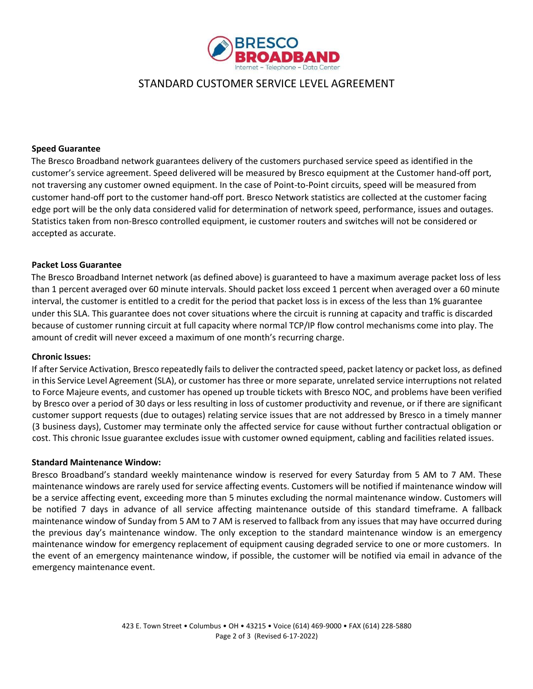

## STANDARD CUSTOMER SERVICE LEVEL AGREEMENT

### **Speed Guarantee**

The Bresco Broadband network guarantees delivery of the customers purchased service speed as identified in the customer's service agreement. Speed delivered will be measured by Bresco equipment at the Customer hand-off port, not traversing any customer owned equipment. In the case of Point-to-Point circuits, speed will be measured from customer hand-off port to the customer hand-off port. Bresco Network statistics are collected at the customer facing edge port will be the only data considered valid for determination of network speed, performance, issues and outages. Statistics taken from non-Bresco controlled equipment, ie customer routers and switches will not be considered or accepted as accurate.

### **Packet Loss Guarantee**

The Bresco Broadband Internet network (as defined above) is guaranteed to have a maximum average packet loss of less than 1 percent averaged over 60 minute intervals. Should packet loss exceed 1 percent when averaged over a 60 minute interval, the customer is entitled to a credit for the period that packet loss is in excess of the less than 1% guarantee under this SLA. This guarantee does not cover situations where the circuit is running at capacity and traffic is discarded because of customer running circuit at full capacity where normal TCP/IP flow control mechanisms come into play. The amount of credit will never exceed a maximum of one month's recurring charge.

### **Chronic Issues:**

If after Service Activation, Bresco repeatedly fails to deliver the contracted speed, packet latency or packet loss, as defined in this Service Level Agreement (SLA), or customer has three or more separate, unrelated service interruptions not related to Force Majeure events, and customer has opened up trouble tickets with Bresco NOC, and problems have been verified by Bresco over a period of 30 days or less resulting in loss of customer productivity and revenue, or if there are significant customer support requests (due to outages) relating service issues that are not addressed by Bresco in a timely manner (3 business days), Customer may terminate only the affected service for cause without further contractual obligation or cost. This chronic Issue guarantee excludes issue with customer owned equipment, cabling and facilities related issues.

### **Standard Maintenance Window:**

Bresco Broadband's standard weekly maintenance window is reserved for every Saturday from 5 AM to 7 AM. These maintenance windows are rarely used for service affecting events. Customers will be notified if maintenance window will be a service affecting event, exceeding more than 5 minutes excluding the normal maintenance window. Customers will be notified 7 days in advance of all service affecting maintenance outside of this standard timeframe. A fallback maintenance window of Sunday from 5 AM to 7 AM is reserved to fallback from any issues that may have occurred during the previous day's maintenance window. The only exception to the standard maintenance window is an emergency maintenance window for emergency replacement of equipment causing degraded service to one or more customers. In the event of an emergency maintenance window, if possible, the customer will be notified via email in advance of the emergency maintenance event.